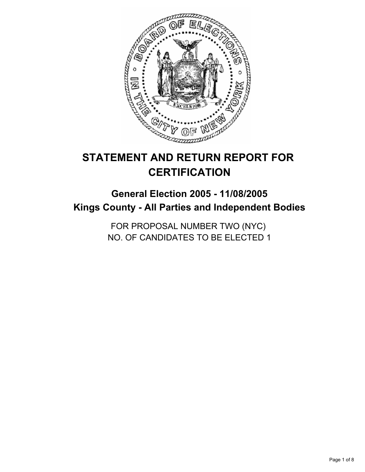

# **STATEMENT AND RETURN REPORT FOR CERTIFICATION**

## **General Election 2005 - 11/08/2005 Kings County - All Parties and Independent Bodies**

FOR PROPOSAL NUMBER TWO (NYC) NO. OF CANDIDATES TO BE ELECTED 1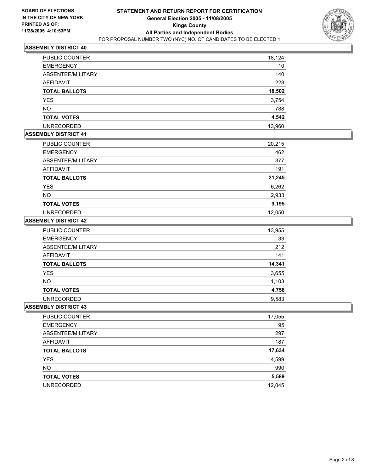

| PUBLIC COUNTER       | 18,124 |
|----------------------|--------|
| <b>EMERGENCY</b>     | 10     |
| ABSENTEE/MILITARY    | 140    |
| <b>AFFIDAVIT</b>     | 228    |
| <b>TOTAL BALLOTS</b> | 18,502 |
| YES                  | 3,754  |
| <b>NO</b>            | 788    |
| <b>TOTAL VOTES</b>   | 4,542  |
| <b>UNRECORDED</b>    | 13,960 |

## **ASSEMBLY DISTRICT 41**

| PUBLIC COUNTER       | 20,215 |
|----------------------|--------|
| <b>EMERGENCY</b>     | 462    |
| ABSENTEE/MILITARY    | 377    |
| AFFIDAVIT            | 191    |
| <b>TOTAL BALLOTS</b> | 21,245 |
| <b>YES</b>           | 6,262  |
| <b>NO</b>            | 2,933  |
| <b>TOTAL VOTES</b>   | 9,195  |
| <b>UNRECORDED</b>    | 12,050 |

#### **ASSEMBLY DISTRICT 42**

| <b>PUBLIC COUNTER</b> | 13,955 |
|-----------------------|--------|
| <b>EMERGENCY</b>      | 33     |
| ABSENTEE/MILITARY     | 212    |
| AFFIDAVIT             | 141    |
| <b>TOTAL BALLOTS</b>  | 14,341 |
| YES                   | 3,655  |
| <b>NO</b>             | 1,103  |
| <b>TOTAL VOTES</b>    | 4,758  |
| <b>UNRECORDED</b>     | 9,583  |

| PUBLIC COUNTER       | 17,055 |
|----------------------|--------|
| <b>EMERGENCY</b>     | 95     |
| ABSENTEE/MILITARY    | 297    |
| AFFIDAVIT            | 187    |
| <b>TOTAL BALLOTS</b> | 17,634 |
| <b>YES</b>           | 4,599  |
| <b>NO</b>            | 990    |
| <b>TOTAL VOTES</b>   | 5,589  |
| <b>UNRECORDED</b>    | 12,045 |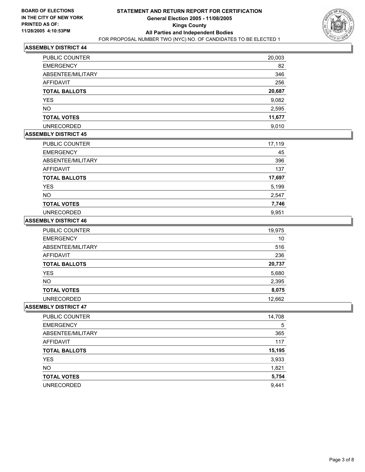

| <b>PUBLIC COUNTER</b> | 20,003 |
|-----------------------|--------|
| <b>EMERGENCY</b>      | 82     |
| ABSENTEE/MILITARY     | 346    |
| <b>AFFIDAVIT</b>      | 256    |
| <b>TOTAL BALLOTS</b>  | 20,687 |
| <b>YES</b>            | 9,082  |
| <b>NO</b>             | 2,595  |
| <b>TOTAL VOTES</b>    | 11,677 |
| <b>UNRECORDED</b>     | 9,010  |

## **ASSEMBLY DISTRICT 45**

| PUBLIC COUNTER       | 17,119 |
|----------------------|--------|
| <b>EMERGENCY</b>     | 45     |
| ABSENTEE/MILITARY    | 396    |
| AFFIDAVIT            | 137    |
| <b>TOTAL BALLOTS</b> | 17,697 |
| <b>YES</b>           | 5,199  |
| <b>NO</b>            | 2,547  |
| <b>TOTAL VOTES</b>   | 7,746  |
| <b>UNRECORDED</b>    | 9,951  |

#### **ASSEMBLY DISTRICT 46**

| <b>PUBLIC COUNTER</b> | 19,975 |
|-----------------------|--------|
| <b>EMERGENCY</b>      | 10     |
| ABSENTEE/MILITARY     | 516    |
| AFFIDAVIT             | 236    |
| <b>TOTAL BALLOTS</b>  | 20,737 |
| <b>YES</b>            | 5,680  |
| NO.                   | 2,395  |
| <b>TOTAL VOTES</b>    | 8,075  |
| <b>UNRECORDED</b>     | 12.662 |

| PUBLIC COUNTER       | 14,708 |
|----------------------|--------|
| <b>EMERGENCY</b>     | 5      |
| ABSENTEE/MILITARY    | 365    |
| AFFIDAVIT            | 117    |
| <b>TOTAL BALLOTS</b> | 15,195 |
| <b>YES</b>           | 3,933  |
| <b>NO</b>            | 1,821  |
| <b>TOTAL VOTES</b>   | 5,754  |
| <b>UNRECORDED</b>    | 9,441  |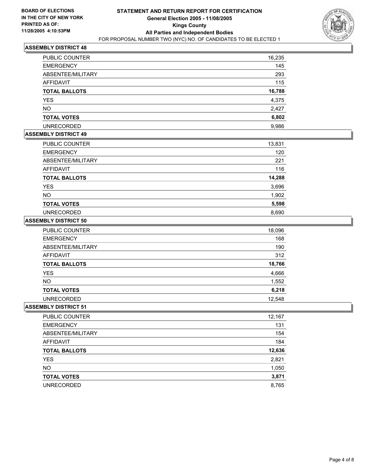

| <b>PUBLIC COUNTER</b> | 16,235 |
|-----------------------|--------|
| <b>EMERGENCY</b>      | 145    |
| ABSENTEE/MILITARY     | 293    |
| <b>AFFIDAVIT</b>      | 115    |
| <b>TOTAL BALLOTS</b>  | 16,788 |
| YES                   | 4,375  |
| <b>NO</b>             | 2,427  |
| <b>TOTAL VOTES</b>    | 6,802  |
| <b>UNRECORDED</b>     | 9,986  |

#### **ASSEMBLY DISTRICT 49**

| PUBLIC COUNTER       | 13,831 |
|----------------------|--------|
| <b>EMERGENCY</b>     | 120    |
| ABSENTEE/MILITARY    | 221    |
| AFFIDAVIT            | 116    |
| <b>TOTAL BALLOTS</b> | 14,288 |
| <b>YES</b>           | 3,696  |
| <b>NO</b>            | 1,902  |
| <b>TOTAL VOTES</b>   | 5,598  |
| <b>UNRECORDED</b>    | 8,690  |

#### **ASSEMBLY DISTRICT 50**

| <b>PUBLIC COUNTER</b> | 18,096 |
|-----------------------|--------|
| <b>EMERGENCY</b>      | 168    |
| ABSENTEE/MILITARY     | 190    |
| AFFIDAVIT             | 312    |
| <b>TOTAL BALLOTS</b>  | 18,766 |
| <b>YES</b>            | 4,666  |
| NO.                   | 1,552  |
| <b>TOTAL VOTES</b>    | 6,218  |
| <b>UNRECORDED</b>     | 12.548 |

| PUBLIC COUNTER       | 12,167 |
|----------------------|--------|
| <b>EMERGENCY</b>     | 131    |
| ABSENTEE/MILITARY    | 154    |
| AFFIDAVIT            | 184    |
| <b>TOTAL BALLOTS</b> | 12,636 |
| <b>YES</b>           | 2,821  |
| <b>NO</b>            | 1,050  |
| <b>TOTAL VOTES</b>   | 3,871  |
| <b>UNRECORDED</b>    | 8,765  |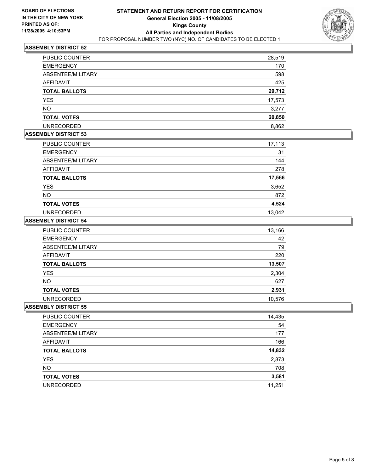

| PUBLIC COUNTER       | 28,519 |
|----------------------|--------|
| <b>EMERGENCY</b>     | 170    |
| ABSENTEE/MILITARY    | 598    |
| AFFIDAVIT            | 425    |
| <b>TOTAL BALLOTS</b> | 29,712 |
| <b>YES</b>           | 17,573 |
| <b>NO</b>            | 3,277  |
| <b>TOTAL VOTES</b>   | 20,850 |
| <b>UNRECORDED</b>    | 8,862  |

## **ASSEMBLY DISTRICT 53**

| PUBLIC COUNTER       | 17,113 |
|----------------------|--------|
| <b>EMERGENCY</b>     | 31     |
| ABSENTEE/MILITARY    | 144    |
| AFFIDAVIT            | 278    |
| <b>TOTAL BALLOTS</b> | 17,566 |
| <b>YES</b>           | 3,652  |
| <b>NO</b>            | 872    |
| <b>TOTAL VOTES</b>   | 4,524  |
| <b>UNRECORDED</b>    | 13,042 |

#### **ASSEMBLY DISTRICT 54**

| <b>PUBLIC COUNTER</b> | 13,166 |
|-----------------------|--------|
| <b>EMERGENCY</b>      | 42     |
| ABSENTEE/MILITARY     | 79     |
| AFFIDAVIT             | 220    |
| <b>TOTAL BALLOTS</b>  | 13,507 |
| <b>YES</b>            | 2,304  |
| <b>NO</b>             | 627    |
| <b>TOTAL VOTES</b>    | 2,931  |
| UNRECORDED            | 10,576 |

| PUBLIC COUNTER       | 14,435 |
|----------------------|--------|
| <b>EMERGENCY</b>     | 54     |
| ABSENTEE/MILITARY    | 177    |
| AFFIDAVIT            | 166    |
| <b>TOTAL BALLOTS</b> | 14,832 |
| <b>YES</b>           | 2,873  |
| <b>NO</b>            | 708    |
| <b>TOTAL VOTES</b>   | 3,581  |
| <b>UNRECORDED</b>    | 11,251 |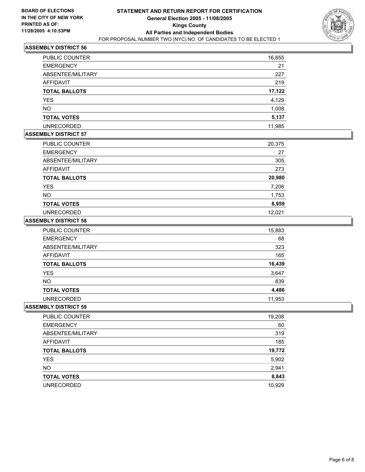

| PUBLIC COUNTER       | 16,655 |
|----------------------|--------|
| <b>EMERGENCY</b>     | 21     |
| ABSENTEE/MILITARY    | 227    |
| AFFIDAVIT            | 219    |
| <b>TOTAL BALLOTS</b> | 17,122 |
| <b>YES</b>           | 4,129  |
| NO.                  | 1,008  |
| <b>TOTAL VOTES</b>   | 5,137  |
| <b>UNRECORDED</b>    | 11,985 |

## **ASSEMBLY DISTRICT 57**

| PUBLIC COUNTER       | 20,375 |
|----------------------|--------|
| <b>EMERGENCY</b>     | 27     |
| ABSENTEE/MILITARY    | 305    |
| AFFIDAVIT            | 273    |
| <b>TOTAL BALLOTS</b> | 20,980 |
| <b>YES</b>           | 7,206  |
| <b>NO</b>            | 1,753  |
| <b>TOTAL VOTES</b>   | 8,959  |
| <b>UNRECORDED</b>    | 12,021 |

#### **ASSEMBLY DISTRICT 58**

| PUBLIC COUNTER       | 15,883 |
|----------------------|--------|
| <b>EMERGENCY</b>     | 68     |
| ABSENTEE/MILITARY    | 323    |
| AFFIDAVIT            | 165    |
| <b>TOTAL BALLOTS</b> | 16,439 |
| <b>YES</b>           | 3,647  |
| <b>NO</b>            | 839    |
| <b>TOTAL VOTES</b>   | 4,486  |
| <b>UNRECORDED</b>    | 11,953 |

| PUBLIC COUNTER       | 19,208 |
|----------------------|--------|
| <b>EMERGENCY</b>     | 60     |
| ABSENTEE/MILITARY    | 319    |
| AFFIDAVIT            | 185    |
| <b>TOTAL BALLOTS</b> | 19,772 |
| <b>YES</b>           | 5,902  |
| <b>NO</b>            | 2,941  |
| <b>TOTAL VOTES</b>   | 8,843  |
| <b>UNRECORDED</b>    | 10,929 |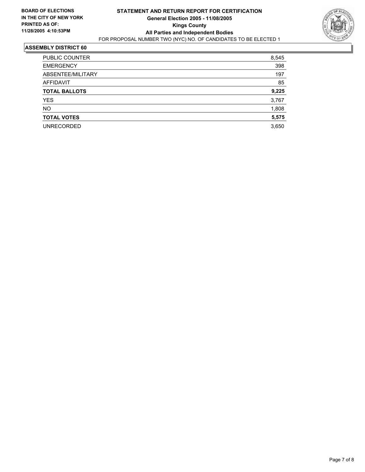